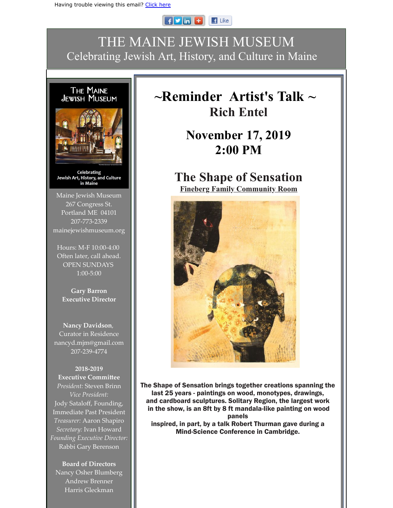#### $F$  $\blacksquare$  Like

### THE MAINE JEWISH MUSEUM Celebrating Jewish Art, History, and Culture in Maine

# The Maine<br>Jewish Museum



Celebrating Jewish Art, History, and Culture in Maine

Maine Jewish Museum 267 Congress St. Portland ME 04101 207-773-2339 mainejewishmuseum.org

Hours: M-F 10:00-4:00 Often later, call ahead. OPEN SUNDAYS 1:00-5:00

**Gary Barron Executive Director**

**Nancy Davidson**, Curator in Residence nancyd.mjm@gmail.com 207-239-4774

**2018-2019 Executive Committee** *President:* Steven Brinn *Vice President:* Jody Sataloff, Founding, Immediate Past President *Treasurer:* Aaron Shapiro *Secretary:* Ivan Howard *Founding Executive Director:* Rabbi Gary Berenson

**Board of Directors** Nancy Osher Blumberg Andrew Brenner Harris Gleckman

## **~Reminder Artist's Talk ~ Rich Entel**

## **November 17, 2019 2:00 PM**

#### **The Shape of Sensation Fineberg Family Community Room**



The Shape of Sensation brings together creations spanning the last 25 years - paintings on wood, monotypes, drawings, and cardboard sculptures. Solitary Region, the largest work in the show, is an 8ft by 8 ft mandala-like painting on wood panels inspired, in part, by a talk Robert Thurman gave during a Mind-Science Conference in Cambridge.